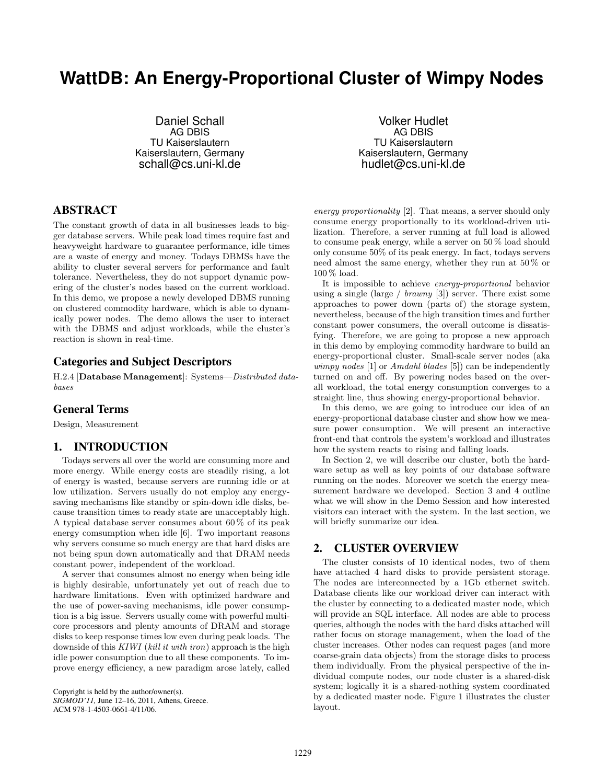# **WattDB: An Energy-Proportional Cluster of Wimpy Nodes**

Daniel Schall AG DBIS TU Kaiserslautern Kaiserslautern, Germany schall@cs.uni-kl.de

Volker Hudlet AG DBIS TU Kaiserslautern Kaiserslautern, Germany hudlet@cs.uni-kl.de

# ABSTRACT

The constant growth of data in all businesses leads to bigger database servers. While peak load times require fast and heavyweight hardware to guarantee performance, idle times are a waste of energy and money. Todays DBMSs have the ability to cluster several servers for performance and fault tolerance. Nevertheless, they do not support dynamic powering of the cluster's nodes based on the current workload. In this demo, we propose a newly developed DBMS running on clustered commodity hardware, which is able to dynamically power nodes. The demo allows the user to interact with the DBMS and adjust workloads, while the cluster's reaction is shown in real-time.

## Categories and Subject Descriptors

H.2.4 [**Database Management**]: Systems—Distributed databases

#### General Terms

Design, Measurement

## 1. INTRODUCTION

Todays servers all over the world are consuming more and more energy. While energy costs are steadily rising, a lot of energy is wasted, because servers are running idle or at low utilization. Servers usually do not employ any energysaving mechanisms like standby or spin-down idle disks, because transition times to ready state are unacceptably high. A typical database server consumes about 60 % of its peak energy comsumption when idle [6]. Two important reasons why servers consume so much energy are that hard disks are not being spun down automatically and that DRAM needs constant power, independent of the workload.

A server that consumes almost no energy when being idle is highly desirable, unfortunately yet out of reach due to hardware limitations. Even with optimized hardware and the use of power-saving mechanisms, idle power consumption is a big issue. Servers usually come with powerful multicore processors and plenty amounts of DRAM and storage disks to keep response times low even during peak loads. The downside of this KIWI (kill it with iron) approach is the high idle power consumption due to all these components. To improve energy efficiency, a new paradigm arose lately, called

Copyright is held by the author/owner(s). *SIGMOD'11,* June 12–16, 2011, Athens, Greece. ACM 978-1-4503-0661-4/11/06.

energy proportionality [2]. That means, a server should only consume energy proportionally to its workload-driven utilization. Therefore, a server running at full load is allowed to consume peak energy, while a server on 50 % load should only consume 50% of its peak energy. In fact, todays servers need almost the same energy, whether they run at 50 % or 100 % load.

It is impossible to achieve energy-proportional behavior using a single (large / brawny [3]) server. There exist some approaches to power down (parts of) the storage system, nevertheless, because of the high transition times and further constant power consumers, the overall outcome is dissatisfying. Therefore, we are going to propose a new approach in this demo by employing commodity hardware to build an energy-proportional cluster. Small-scale server nodes (aka wimpy nodes [1] or Amdahl blades [5]) can be independently turned on and off. By powering nodes based on the overall workload, the total energy consumption converges to a straight line, thus showing energy-proportional behavior.

In this demo, we are going to introduce our idea of an energy-proportional database cluster and show how we measure power consumption. We will present an interactive front-end that controls the system's workload and illustrates how the system reacts to rising and falling loads.

In Section 2, we will describe our cluster, both the hardware setup as well as key points of our database software running on the nodes. Moreover we scetch the energy measurement hardware we developed. Section 3 and 4 outline what we will show in the Demo Session and how interested visitors can interact with the system. In the last section, we will briefly summarize our idea.

## 2. CLUSTER OVERVIEW

The cluster consists of 10 identical nodes, two of them have attached 4 hard disks to provide persistent storage. The nodes are interconnected by a 1Gb ethernet switch. Database clients like our workload driver can interact with the cluster by connecting to a dedicated master node, which will provide an SQL interface. All nodes are able to process queries, although the nodes with the hard disks attached will rather focus on storage management, when the load of the cluster increases. Other nodes can request pages (and more coarse-grain data objects) from the storage disks to process them individually. From the physical perspective of the individual compute nodes, our node cluster is a shared-disk system; logically it is a shared-nothing system coordinated by a dedicated master node. Figure 1 illustrates the cluster layout.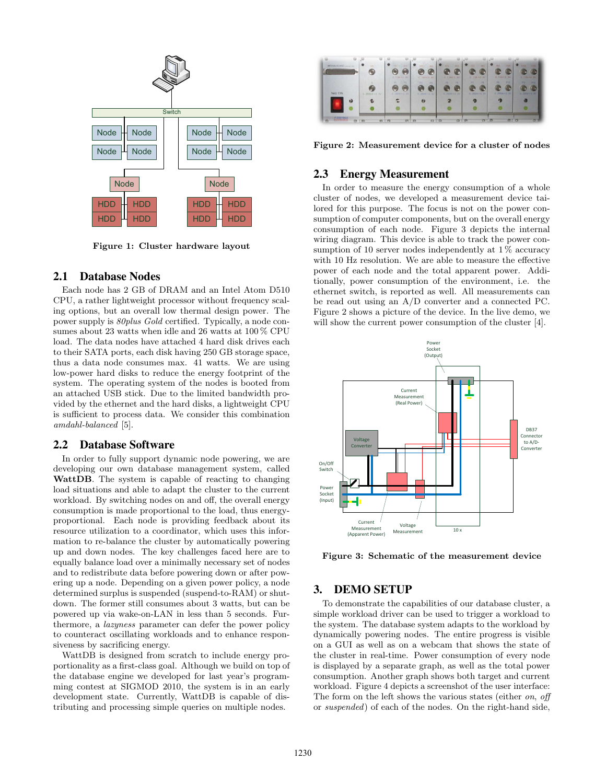

**Figure 1: Cluster hardware layout**

#### 2.1 Database Nodes

Each node has 2 GB of DRAM and an Intel Atom D510 CPU, a rather lightweight processor without frequency scaling options, but an overall low thermal design power. The power supply is 80plus Gold certified. Typically, a node consumes about 23 watts when idle and 26 watts at 100 % CPU load. The data nodes have attached 4 hard disk drives each to their SATA ports, each disk having 250 GB storage space, thus a data node consumes max. 41 watts. We are using low-power hard disks to reduce the energy footprint of the system. The operating system of the nodes is booted from an attached USB stick. Due to the limited bandwidth provided by the ethernet and the hard disks, a lightweight CPU is sufficient to process data. We consider this combination amdahl-balanced [5].

#### 2.2 Database Software

In order to fully support dynamic node powering, we are developing our own database management system, called **WattDB**. The system is capable of reacting to changing load situations and able to adapt the cluster to the current workload. By switching nodes on and off, the overall energy consumption is made proportional to the load, thus energyproportional. Each node is providing feedback about its resource utilization to a coordinator, which uses this information to re-balance the cluster by automatically powering up and down nodes. The key challenges faced here are to equally balance load over a minimally necessary set of nodes and to redistribute data before powering down or after powering up a node. Depending on a given power policy, a node determined surplus is suspended (suspend-to-RAM) or shutdown. The former still consumes about 3 watts, but can be powered up via wake-on-LAN in less than 5 seconds. Furthermore, a lazyness parameter can defer the power policy to counteract oscillating workloads and to enhance responsiveness by sacrificing energy.

WattDB is designed from scratch to include energy proportionality as a first-class goal. Although we build on top of the database engine we developed for last year's programming contest at SIGMOD 2010, the system is in an early development state. Currently, WattDB is capable of distributing and processing simple queries on multiple nodes.

| ----------------- |                     | D. 754 KB Rd                              | C YAAH D WE           | 0.44880.W                       | O FRANCIST                  | 0.154 PO NV                   | 0 154 = 8 92                              |
|-------------------|---------------------|-------------------------------------------|-----------------------|---------------------------------|-----------------------------|-------------------------------|-------------------------------------------|
| Netz EIN          | $0.2100048 + 0.191$ | 193<br><b>IPS</b><br>愽<br>G. 250W F.E. NY | 1994<br>6.250W - 0.5V | m<br>m<br>$0.2509 \times 0.021$ | 197<br>19<br>9:200 V V 0:3V | 255<br>39<br>$0.250W + 0.307$ | PH<br>PG.<br>m<br><b>B. 2500 + 5. 500</b> |
| ьb                |                     |                                           | 64                    |                                 | ø                           |                               |                                           |

**Figure 2: Measurement device for a cluster of nodes**

## 2.3 Energy Measurement

In order to measure the energy consumption of a whole cluster of nodes, we developed a measurement device tailored for this purpose. The focus is not on the power consumption of computer components, but on the overall energy consumption of each node. Figure 3 depicts the internal wiring diagram. This device is able to track the power consumption of 10 server nodes independently at  $1\%$  accuracy with 10 Hz resolution. We are able to measure the effective power of each node and the total apparent power. Additionally, power consumption of the environment, i.e. the ethernet switch, is reported as well. All measurements can be read out using an A/D converter and a connected PC. Figure 2 shows a picture of the device. In the live demo, we will show the current power consumption of the cluster [4].



**Figure 3: Schematic of the measurement device**

#### 3. DEMO SETUP

To demonstrate the capabilities of our database cluster, a simple workload driver can be used to trigger a workload to the system. The database system adapts to the workload by dynamically powering nodes. The entire progress is visible on a GUI as well as on a webcam that shows the state of the cluster in real-time. Power consumption of every node is displayed by a separate graph, as well as the total power consumption. Another graph shows both target and current workload. Figure 4 depicts a screenshot of the user interface: The form on the left shows the various states (either *on*, *off* or suspended) of each of the nodes. On the right-hand side,